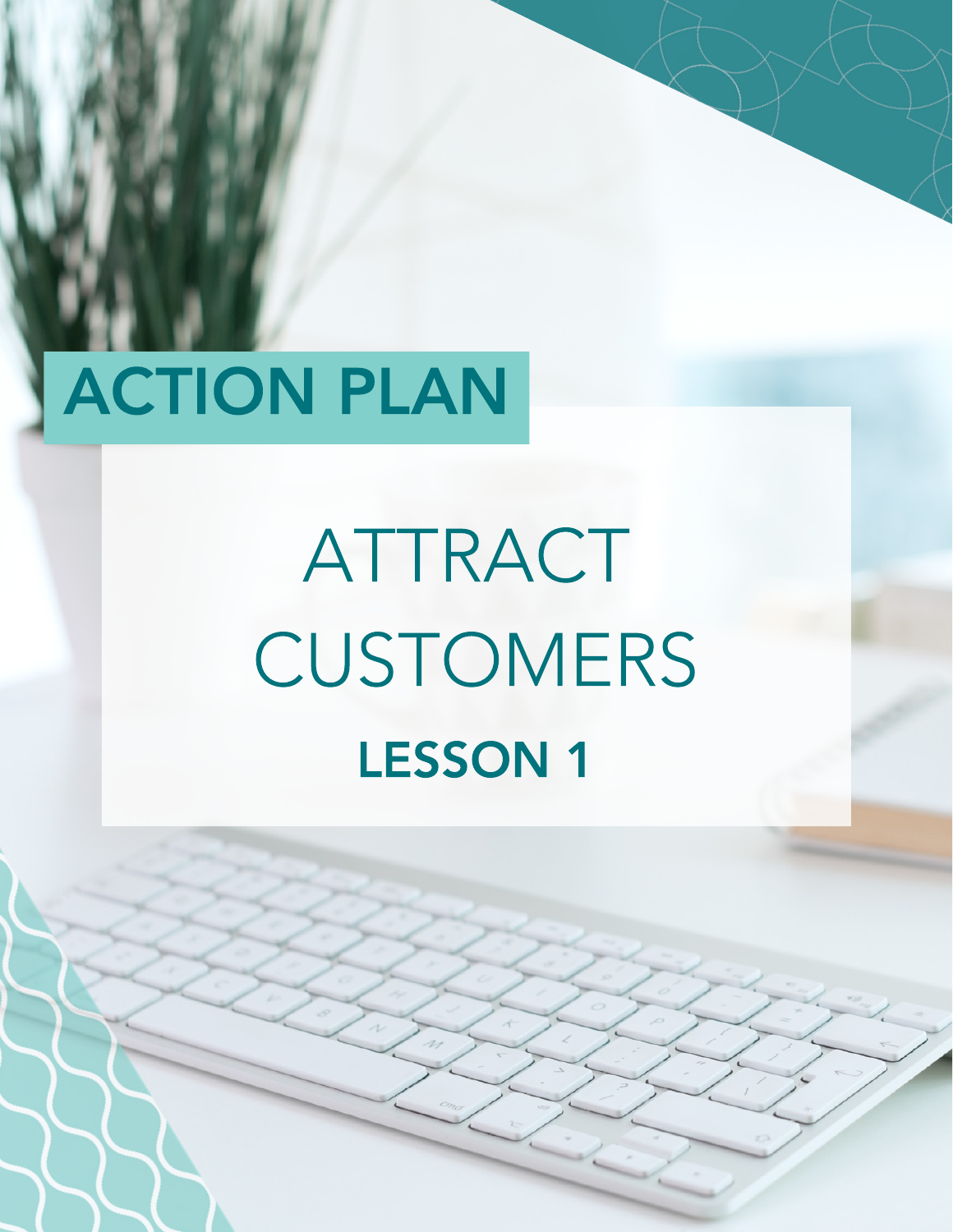# ACTION PLAN

# ATTRACT **CUSTOMERS** LESSON 1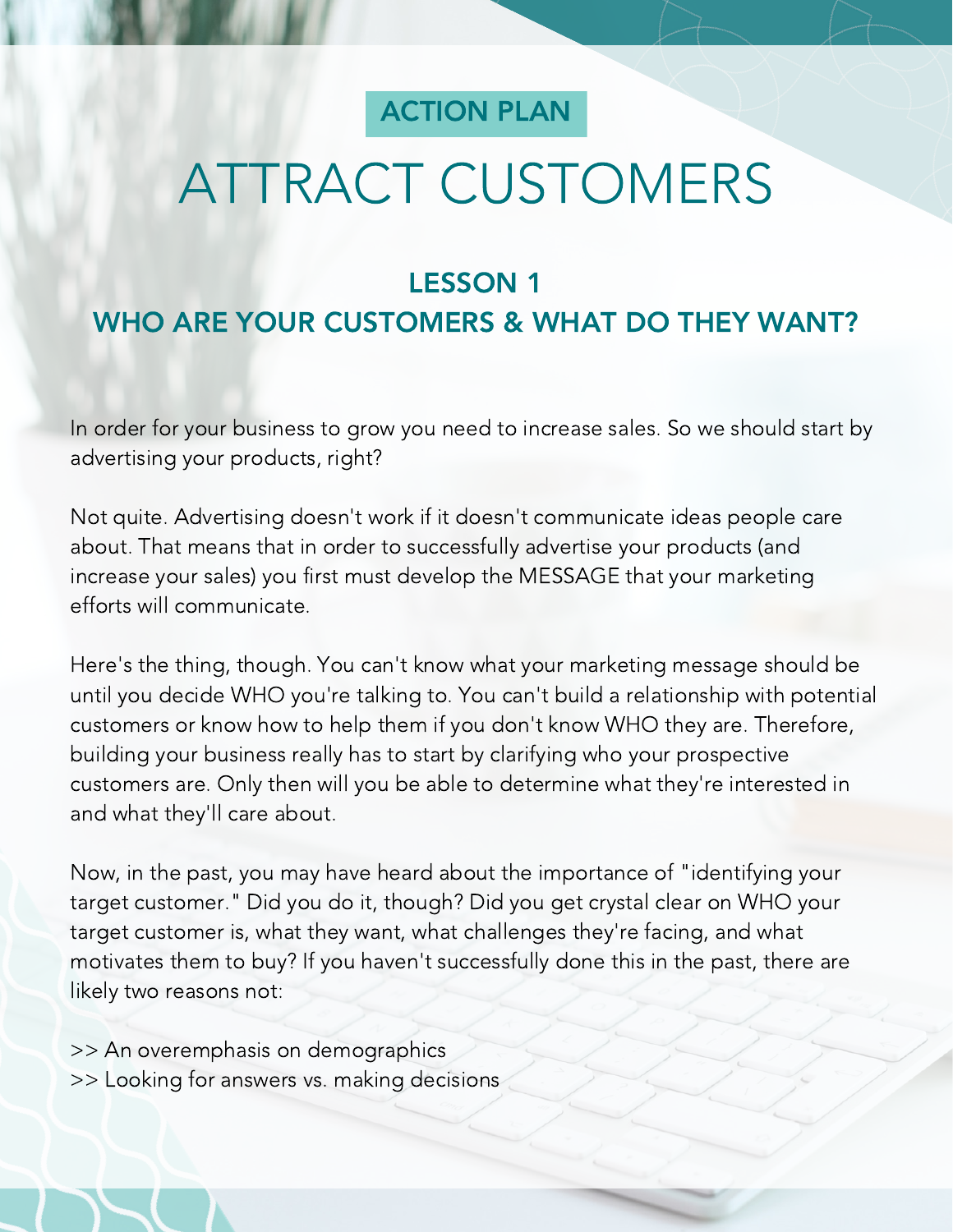#### ACTION PLAN

# ATTRACT CUSTOMERS

#### LESSON 1

## WHO ARE YOUR CUSTOMERS & WHAT DO THEY WANT?

In order for your business to grow you need to increase sales. So we should start by advertising your products, right?

Not quite. Advertising doesn't work if it doesn't communicate ideas people care about. That means that in order to successfully advertise your products (and increase your sales) you first must develop the MESSAGE that your marketing efforts will communicate.

Here's the thing, though. You can't know what your marketing message should be until you decide WHO you're talking to. You can't build a relationship with potential customers or know how to help them if you don't know WHO they are. Therefore, building your business really has to start by clarifying who your prospective customers are. Only then will you be able to determine what they're interested in and what they'll care about.

Now, in the past, you may have heard about the importance of "identifying your target customer." Did you do it, though? Did you get crystal clear on WHO your target customer is, what they want, what challenges they're facing, and what motivates them to buy? If you haven't successfully done this in the past, there are likely two reasons not:

>> An overemphasis on demographics >> Looking for answers vs. making decisions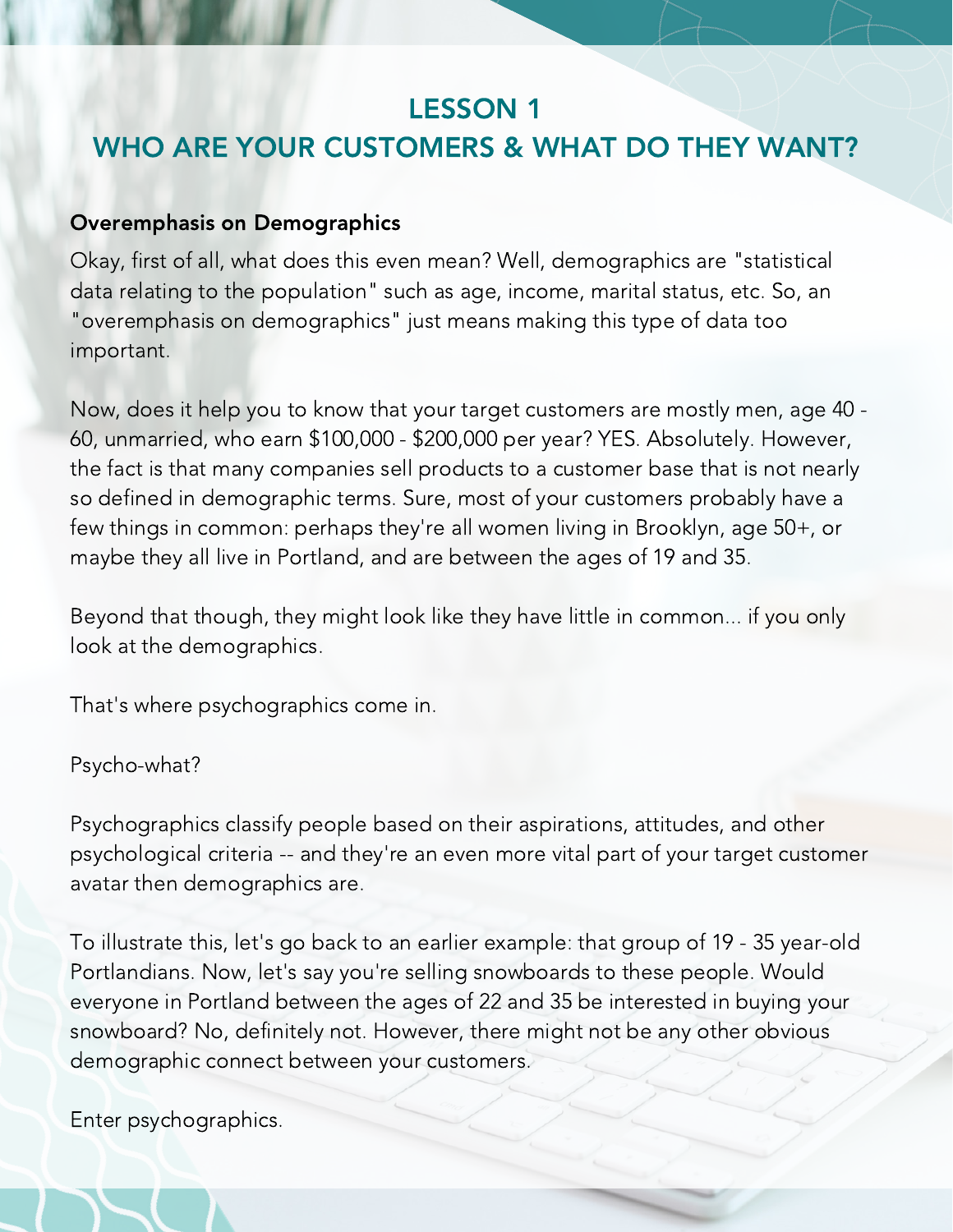#### LESSON 1

# WHO ARE YOUR CUSTOMERS & WHAT DO THEY WANT?

#### Overemphasis on Demographics

Okay, first of all, what does this even mean? Well, demographics are "statistical data relating to the population" such as age, income, marital status, etc. So, an "overemphasis on demographics" just means making this type of data too important.

Now, does it help you to know that your target customers are mostly men, age 40 - 60, unmarried, who earn \$100,000 - \$200,000 per year? YES. Absolutely. However, the fact is that many companies sell products to a customer base that is not nearly so defined in demographic terms. Sure, most of your customers probably have a few things in common: perhaps they're all women living in Brooklyn, age 50+, or maybe they all live in Portland, and are between the ages of 19 and 35.

Beyond that though, they might look like they have little in common... if you only look at the demographics.

That's where psychographics come in.

#### Psycho-what?

Psychographics classify people based on their aspirations, attitudes, and other psychological criteria -- and they're an even more vital part of your target customer avatar then demographics are.

To illustrate this, let's go back to an earlier example: that group of 19 - 35 year-old Portlandians. Now, let's say you're selling snowboards to these people. Would everyone in Portland between the ages of 22 and 35 be interested in buying your snowboard? No, definitely not. However, there might not be any other obvious demographic connect between your customers.

Enter psychographics.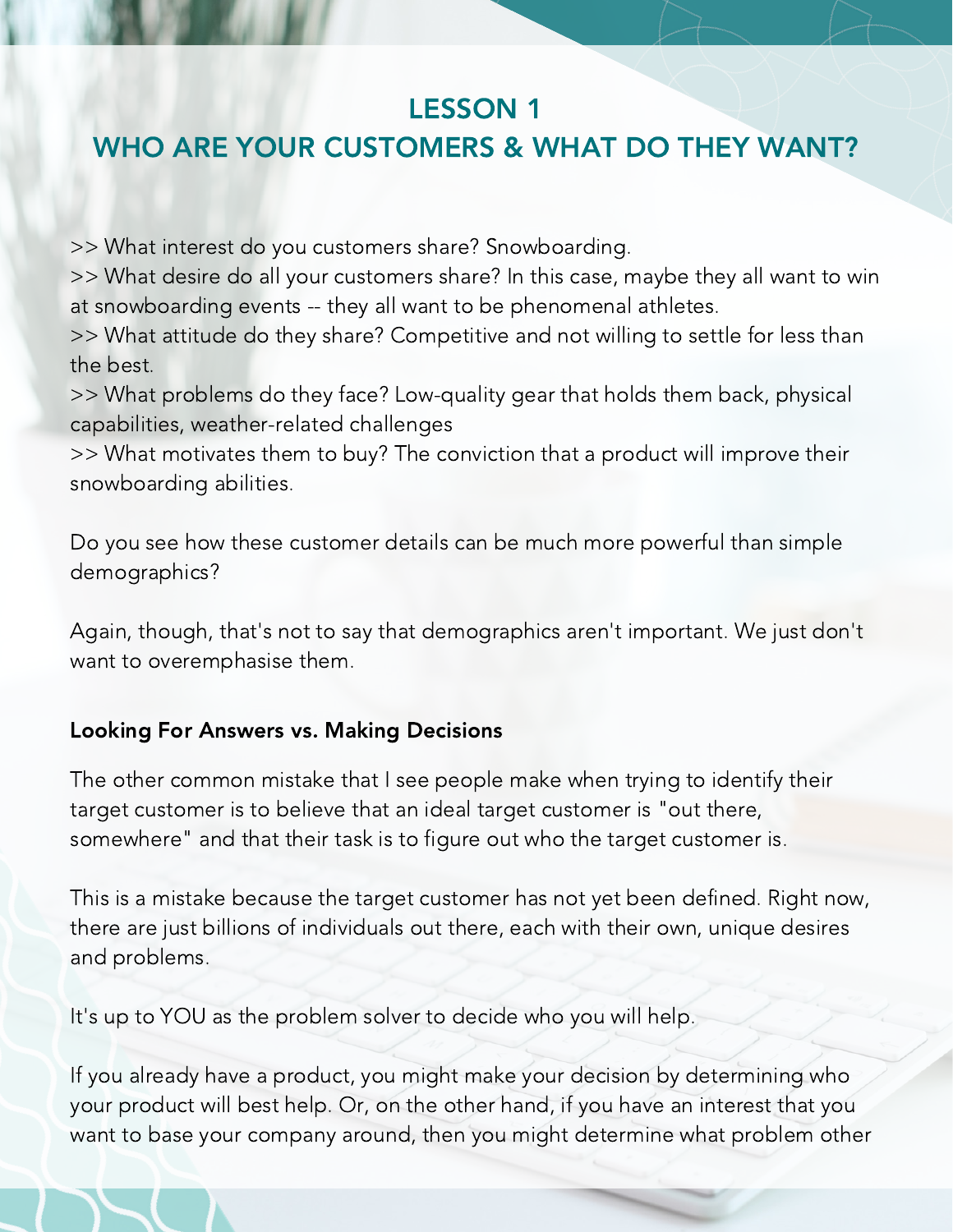### LESSON 1

### WHO ARE YOUR CUSTOMERS & WHAT DO THEY WANT?

>> What interest do you customers share? Snowboarding.

>> What desire do all your customers share? In this case, maybe they all want to win at snowboarding events -- they all want to be phenomenal athletes.

>> What attitude do they share? Competitive and not willing to settle for less than the best.

>> What problems do they face? Low-quality gear that holds them back, physical capabilities, weather-related challenges

>> What motivates them to buy? The conviction that a product will improve their snowboarding abilities.

Do you see how these customer details can be much more powerful than simple demographics?

Again, though, that's not to say that demographics aren't important. We just don't want to overemphasise them.

#### Looking For Answers vs. Making Decisions

The other common mistake that I see people make when trying to identify their target customer is to believe that an ideal target customer is "out there, somewhere" and that their task is to figure out who the target customer is.

This is a mistake because the target customer has not yet been defined. Right now, there are just billions of individuals out there, each with their own, unique desires and problems.

It's up to YOU as the problem solver to decide who you will help.

If you already have a product, you might make your decision by determining who your product will best help. Or, on the other hand, if you have an interest that you want to base your company around, then you might determine what problem other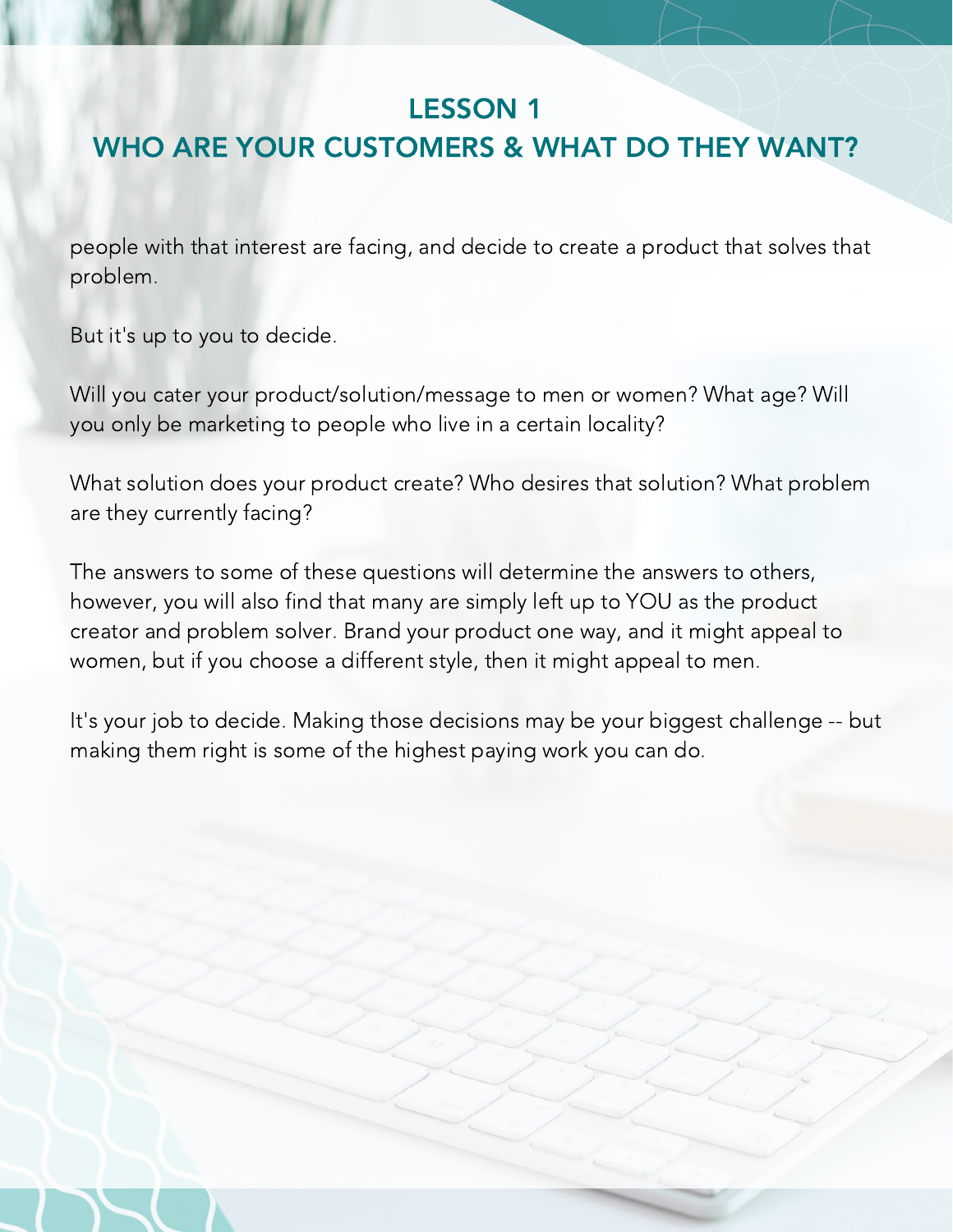#### LESSON 1

## WHO ARE YOUR CUSTOMERS & WHAT DO THEY WANT?

people with that interest are facing, and decide to create a product that solves that problem.

But it's up to you to decide.

Will you cater your product/solution/message to men or women? What age? Will you only be marketing to people who live in a certain locality?

What solution does your product create? Who desires that solution? What problem are they currently facing?

The answers to some of these questions will determine the answers to others, however, you will also find that many are simply left up to YOU as the product creator and problem solver. Brand your product one way, and it might appeal to women, but if you choose a different style, then it might appeal to men.

It's your job to decide. Making those decisions may be your biggest challenge -- but making them right is some of the highest paying work you can do.